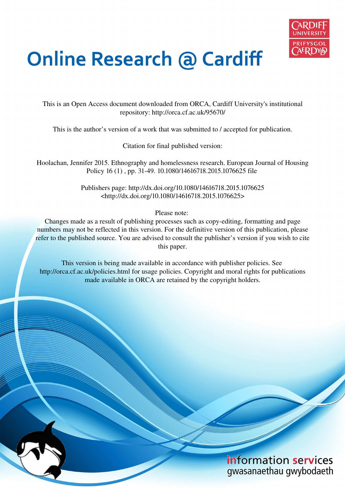

# **Online Research @ Cardiff**

This is an Open Access document downloaded from ORCA, Cardiff University's institutional repository: http://orca.cf.ac.uk/95670/

This is the author's version of a work that was submitted to / accepted for publication.

Citation for final published version:

Hoolachan, Jennifer 2015. Ethnography and homelessness research. European Journal of Housing Policy 16 (1) , pp. 31-49. 10.1080/14616718.2015.1076625 file

> Publishers page: http://dx.doi.org/10.1080/14616718.2015.1076625 <http://dx.doi.org/10.1080/14616718.2015.1076625>

> > Please note:

Changes made as a result of publishing processes such as copy-editing, formatting and page numbers may not be reflected in this version. For the definitive version of this publication, please refer to the published source. You are advised to consult the publisher's version if you wish to cite this paper.

This version is being made available in accordance with publisher policies. See http://orca.cf.ac.uk/policies.html for usage policies. Copyright and moral rights for publications made available in ORCA are retained by the copyright holders.

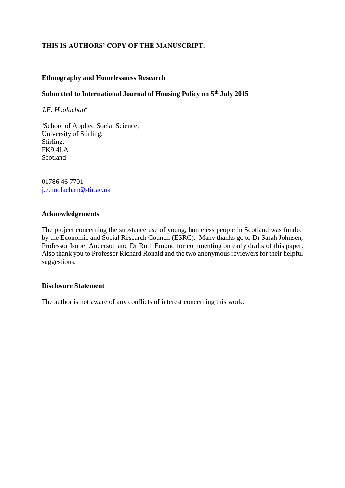# **THIS IS AUTHORS' COPY OF THE MANUSCRIPT.**

# **Ethnography and Homelessness Research**

# **Submitted to International Journal of Housing Policy on 5th July 2015**

*J.E. Hoolachan<sup>a</sup>*

<sup>a</sup>School of Applied Social Science, University of Stirling, Stirling, FK9 4LA Scotland

01786 46 7701 [j.e.hoolachan@stir.ac.uk](mailto:j.e.hoolachan@stir.ac.uk) 

### **Acknowledgements**

The project concerning the substance use of young, homeless people in Scotland was funded by the Economic and Social Research Council (ESRC). Many thanks go to Dr Sarah Johnsen, Professor Isobel Anderson and Dr Ruth Emond for commenting on early drafts of this paper. Also thank you to Professor Richard Ronald and the two anonymous reviewers for their helpful suggestions.

## **Disclosure Statement**

The author is not aware of any conflicts of interest concerning this work.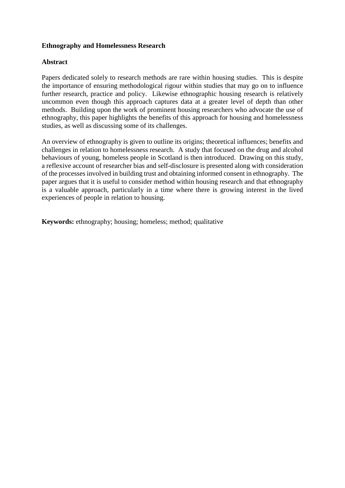# **Ethnography and Homelessness Research**

## **Abstract**

Papers dedicated solely to research methods are rare within housing studies. This is despite the importance of ensuring methodological rigour within studies that may go on to influence further research, practice and policy. Likewise ethnographic housing research is relatively uncommon even though this approach captures data at a greater level of depth than other methods. Building upon the work of prominent housing researchers who advocate the use of ethnography, this paper highlights the benefits of this approach for housing and homelessness studies, as well as discussing some of its challenges.

An overview of ethnography is given to outline its origins; theoretical influences; benefits and challenges in relation to homelessness research. A study that focused on the drug and alcohol behaviours of young, homeless people in Scotland is then introduced. Drawing on this study, a reflexive account of researcher bias and self-disclosure is presented along with consideration of the processes involved in building trust and obtaining informed consent in ethnography. The paper argues that it is useful to consider method within housing research and that ethnography is a valuable approach, particularly in a time where there is growing interest in the lived experiences of people in relation to housing.

**Keywords:** ethnography; housing; homeless; method; qualitative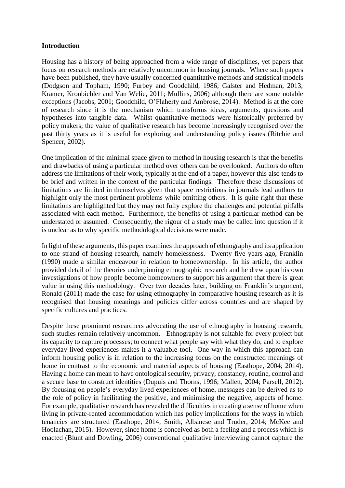## **Introduction**

Housing has a history of being approached from a wide range of disciplines, yet papers that focus on research methods are relatively uncommon in housing journals. Where such papers have been published, they have usually concerned quantitative methods and statistical models (Dodgson and Topham, 1990; Furbey and Goodchild, 1986; Galster and Hedman, 2013; Kramer, Kronbichler and Van Welie, 2011; Mullins, 2006) although there are some notable exceptions (Jacobs, 2001; Goodchild, O'Flaherty and Ambrose, 2014). Method is at the core of research since it is the mechanism which transforms ideas, arguments, questions and hypotheses into tangible data. Whilst quantitative methods were historically preferred by policy makers; the value of qualitative research has become increasingly recognised over the past thirty years as it is useful for exploring and understanding policy issues (Ritchie and Spencer, 2002).

One implication of the minimal space given to method in housing research is that the benefits and drawbacks of using a particular method over others can be overlooked. Authors do often address the limitations of their work, typically at the end of a paper, however this also tends to be brief and written in the context of the particular findings. Therefore these discussions of limitations are limited in themselves given that space restrictions in journals lead authors to highlight only the most pertinent problems while omitting others. It is quite right that these limitations are highlighted but they may not fully explore the challenges and potential pitfalls associated with each method. Furthermore, the benefits of using a particular method can be understated or assumed. Consequently, the rigour of a study may be called into question if it is unclear as to why specific methodological decisions were made.

In light of these arguments, this paper examines the approach of ethnography and its application to one strand of housing research, namely homelessness. Twenty five years ago, Franklin (1990) made a similar endeavour in relation to homeownership. In his article, the author provided detail of the theories underpinning ethnographic research and he drew upon his own investigations of how people become homeowners to support his argument that there is great value in using this methodology. Over two decades later, building on Franklin's argument, Ronald (2011) made the case for using ethnography in comparative housing research as it is recognised that housing meanings and policies differ across countries and are shaped by specific cultures and practices.

Despite these prominent researchers advocating the use of ethnography in housing research, such studies remain relatively uncommon. Ethnography is not suitable for every project but its capacity to capture processes; to connect what people say with what they do; and to explore everyday lived experiences makes it a valuable tool. One way in which this approach can inform housing policy is in relation to the increasing focus on the constructed meanings of home in contrast to the economic and material aspects of housing (Easthope, 2004; 2014). Having a home can mean to have ontological security, privacy, constancy, routine, control and a secure base to construct identities (Dupuis and Thorns, 1996; Mallett, 2004; Parsell, 2012). By focusing on people's everyday lived experiences of home, messages can be derived as to the role of policy in facilitating the positive, and minimising the negative, aspects of home. For example, qualitative research has revealed the difficulties in creating a sense of home when living in private-rented accommodation which has policy implications for the ways in which tenancies are structured (Easthope, 2014; Smith, Albanese and Truder, 2014; McKee and Hoolachan, 2015). However, since home is conceived as both a feeling and a process which is enacted (Blunt and Dowling, 2006) conventional qualitative interviewing cannot capture the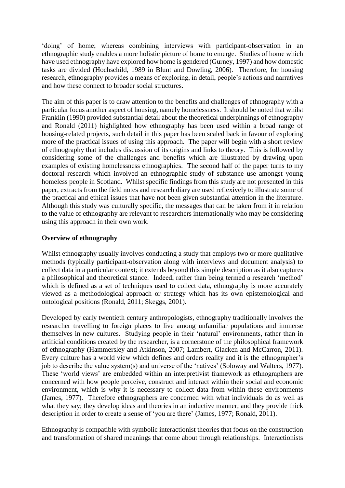'doing' of home; whereas combining interviews with participant-observation in an ethnographic study enables a more holistic picture of home to emerge. Studies of home which have used ethnography have explored how home is gendered (Gurney, 1997) and how domestic tasks are divided (Hochschild, 1989 in Blunt and Dowling, 2006). Therefore, for housing research, ethnography provides a means of exploring, in detail, people's actions and narratives and how these connect to broader social structures.

The aim of this paper is to draw attention to the benefits and challenges of ethnography with a particular focus another aspect of housing, namely homelessness. It should be noted that whilst Franklin (1990) provided substantial detail about the theoretical underpinnings of ethnography and Ronald (2011) highlighted how ethnography has been used within a broad range of housing-related projects, such detail in this paper has been scaled back in favour of exploring more of the practical issues of using this approach. The paper will begin with a short review of ethnography that includes discussion of its origins and links to theory. This is followed by considering some of the challenges and benefits which are illustrated by drawing upon examples of existing homelessness ethnographies. The second half of the paper turns to my doctoral research which involved an ethnographic study of substance use amongst young homeless people in Scotland. Whilst specific findings from this study are not presented in this paper, extracts from the field notes and research diary are used reflexively to illustrate some of the practical and ethical issues that have not been given substantial attention in the literature. Although this study was culturally specific, the messages that can be taken from it in relation to the value of ethnography are relevant to researchers internationally who may be considering using this approach in their own work.

# **Overview of ethnography**

Whilst ethnography usually involves conducting a study that employs two or more qualitative methods (typically participant-observation along with interviews and document analysis) to collect data in a particular context; it extends beyond this simple description as it also captures a philosophical and theoretical stance. Indeed, rather than being termed a research 'method' which is defined as a set of techniques used to collect data, ethnography is more accurately viewed as a methodological approach or strategy which has its own epistemological and ontological positions (Ronald, 2011; Skeggs, 2001).

Developed by early twentieth century anthropologists, ethnography traditionally involves the researcher travelling to foreign places to live among unfamiliar populations and immerse themselves in new cultures. Studying people in their 'natural' environments, rather than in artificial conditions created by the researcher, is a cornerstone of the philosophical framework of ethnography (Hammersley and Atkinson, 2007; Lambert, Glacken and McCarron, 2011). Every culture has a world view which defines and orders reality and it is the ethnographer's job to describe the value system(s) and universe of the 'natives' (Soloway and Walters, 1977). These 'world views' are embedded within an interpretivist framework as ethnographers are concerned with how people perceive, construct and interact within their social and economic environment, which is why it is necessary to collect data from within these environments (James, 1977). Therefore ethnographers are concerned with what individuals do as well as what they say; they develop ideas and theories in an inductive manner; and they provide thick description in order to create a sense of 'you are there' (James, 1977; Ronald, 2011).

Ethnography is compatible with symbolic interactionist theories that focus on the construction and transformation of shared meanings that come about through relationships. Interactionists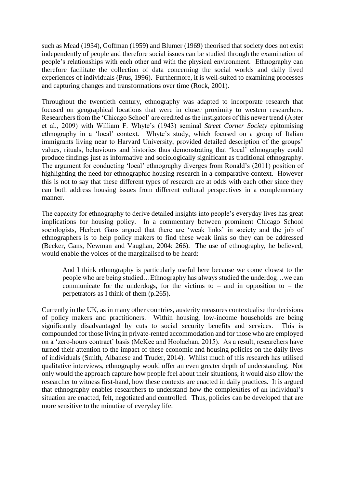such as Mead (1934), Goffman (1959) and Blumer (1969) theorised that society does not exist independently of people and therefore social issues can be studied through the examination of people's relationships with each other and with the physical environment. Ethnography can therefore facilitate the collection of data concerning the social worlds and daily lived experiences of individuals (Prus, 1996). Furthermore, it is well-suited to examining processes and capturing changes and transformations over time (Rock, 2001).

Throughout the twentieth century, ethnography was adapted to incorporate research that focused on geographical locations that were in closer proximity to western researchers. Researchers from the 'Chicago School' are credited as the instigators of this newer trend (Apter et al., 2009) with William F. Whyte's (1943) seminal *Street Corner Society* epitomising ethnography in a 'local' context. Whyte's study, which focused on a group of Italian immigrants living near to Harvard University, provided detailed description of the groups' values, rituals, behaviours and histories thus demonstrating that 'local' ethnography could produce findings just as informative and sociologically significant as traditional ethnography. The argument for conducting 'local' ethnography diverges from Ronald's (2011) position of highlighting the need for ethnographic housing research in a comparative context. However this is not to say that these different types of research are at odds with each other since they can both address housing issues from different cultural perspectives in a complementary manner.

The capacity for ethnography to derive detailed insights into people's everyday lives has great implications for housing policy. In a commentary between prominent Chicago School sociologists, Herbert Gans argued that there are 'weak links' in society and the job of ethnographers is to help policy makers to find these weak links so they can be addressed (Becker, Gans, Newman and Vaughan, 2004: 266). The use of ethnography, he believed, would enable the voices of the marginalised to be heard:

And I think ethnography is particularly useful here because we come closest to the people who are being studied…Ethnography has always studied the underdog…we can communicate for the underdogs, for the victims to – and in opposition to – the perpetrators as I think of them (p.265).

Currently in the UK, as in many other countries, austerity measures contextualise the decisions of policy makers and practitioners. Within housing, low-income households are being significantly disadvantaged by cuts to social security benefits and services. This is compounded for those living in private-rented accommodation and for those who are employed on a 'zero-hours contract' basis (McKee and Hoolachan, 2015). As a result, researchers have turned their attention to the impact of these economic and housing policies on the daily lives of individuals (Smith, Albanese and Truder, 2014). Whilst much of this research has utilised qualitative interviews, ethnography would offer an even greater depth of understanding. Not only would the approach capture how people feel about their situations, it would also allow the researcher to witness first-hand, how these contexts are enacted in daily practices. It is argued that ethnography enables researchers to understand how the complexities of an individual's situation are enacted, felt, negotiated and controlled. Thus, policies can be developed that are more sensitive to the minutiae of everyday life.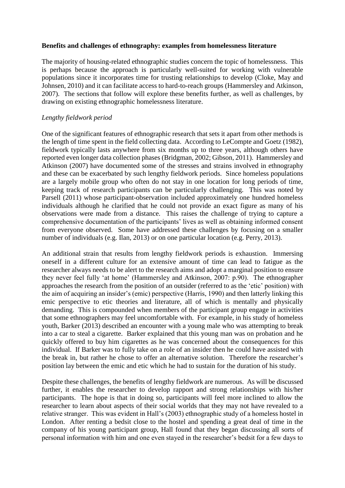#### **Benefits and challenges of ethnography: examples from homelessness literature**

The majority of housing-related ethnographic studies concern the topic of homelessness. This is perhaps because the approach is particularly well-suited for working with vulnerable populations since it incorporates time for trusting relationships to develop (Cloke, May and Johnsen, 2010) and it can facilitate access to hard-to-reach groups (Hammersley and Atkinson, 2007). The sections that follow will explore these benefits further, as well as challenges, by drawing on existing ethnographic homelessness literature.

#### *Lengthy fieldwork period*

One of the significant features of ethnographic research that sets it apart from other methods is the length of time spent in the field collecting data. According to LeCompte and Goetz (1982), fieldwork typically lasts anywhere from six months up to three years, although others have reported even longer data collection phases (Bridgman, 2002; Gibson, 2011). Hammersley and Atkinson (2007) have documented some of the stresses and strains involved in ethnography and these can be exacerbated by such lengthy fieldwork periods. Since homeless populations are a largely mobile group who often do not stay in one location for long periods of time, keeping track of research participants can be particularly challenging. This was noted by Parsell (2011) whose participant-observation included approximately one hundred homeless individuals although he clarified that he could not provide an exact figure as many of his observations were made from a distance. This raises the challenge of trying to capture a comprehensive documentation of the participants' lives as well as obtaining informed consent from everyone observed. Some have addressed these challenges by focusing on a smaller number of individuals (e.g. Ilan, 2013) or on one particular location (e.g. Perry, 2013).

An additional strain that results from lengthy fieldwork periods is exhaustion. Immersing oneself in a different culture for an extensive amount of time can lead to fatigue as the researcher always needs to be alert to the research aims and adopt a marginal position to ensure they never feel fully 'at home' (Hammersley and Atkinson, 2007: p.90). The ethnographer approaches the research from the position of an outsider (referred to as the 'etic' position) with the aim of acquiring an insider's (emic) perspective (Harris, 1990) and then latterly linking this emic perspective to etic theories and literature, all of which is mentally and physically demanding. This is compounded when members of the participant group engage in activities that some ethnographers may feel uncomfortable with. For example, in his study of homeless youth, Barker (2013) described an encounter with a young male who was attempting to break into a car to steal a cigarette. Barker explained that this young man was on probation and he quickly offered to buy him cigarettes as he was concerned about the consequences for this individual. If Barker was to fully take on a role of an insider then he could have assisted with the break in, but rather he chose to offer an alternative solution. Therefore the researcher's position lay between the emic and etic which he had to sustain for the duration of his study.

Despite these challenges, the benefits of lengthy fieldwork are numerous. As will be discussed further, it enables the researcher to develop rapport and strong relationships with his/her participants. The hope is that in doing so, participants will feel more inclined to allow the researcher to learn about aspects of their social worlds that they may not have revealed to a relative stranger. This was evident in Hall's (2003) ethnographic study of a homeless hostel in London. After renting a bedsit close to the hostel and spending a great deal of time in the company of his young participant group, Hall found that they began discussing all sorts of personal information with him and one even stayed in the researcher's bedsit for a few days to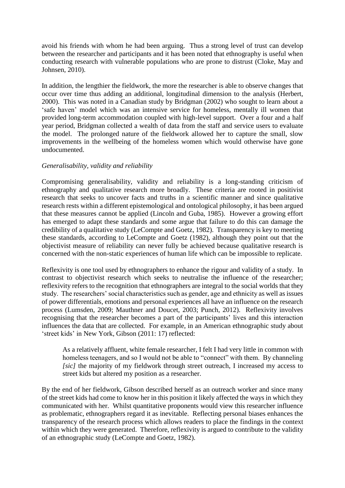avoid his friends with whom he had been arguing. Thus a strong level of trust can develop between the researcher and participants and it has been noted that ethnography is useful when conducting research with vulnerable populations who are prone to distrust (Cloke, May and Johnsen, 2010).

In addition, the lengthier the fieldwork, the more the researcher is able to observe changes that occur over time thus adding an additional, longitudinal dimension to the analysis (Herbert, 2000). This was noted in a Canadian study by Bridgman (2002) who sought to learn about a 'safe haven' model which was an intensive service for homeless, mentally ill women that provided long-term accommodation coupled with high-level support. Over a four and a half year period, Bridgman collected a wealth of data from the staff and service users to evaluate the model. The prolonged nature of the fieldwork allowed her to capture the small, slow improvements in the wellbeing of the homeless women which would otherwise have gone undocumented.

# *Generalisability, validity and reliability*

Compromising generalisability, validity and reliability is a long-standing criticism of ethnography and qualitative research more broadly. These criteria are rooted in positivist research that seeks to uncover facts and truths in a scientific manner and since qualitative research rests within a different epistemological and ontological philosophy, it has been argued that these measures cannot be applied (Lincoln and Guba, 1985). However a growing effort has emerged to adapt these standards and some argue that failure to do this can damage the credibility of a qualitative study (LeCompte and Goetz, 1982). Transparency is key to meeting these standards, according to LeCompte and Goetz (1982), although they point out that the objectivist measure of reliability can never fully be achieved because qualitative research is concerned with the non-static experiences of human life which can be impossible to replicate.

Reflexivity is one tool used by ethnographers to enhance the rigour and validity of a study. In contrast to objectivist research which seeks to neutralise the influence of the researcher; reflexivity refers to the recognition that ethnographers are integral to the social worlds that they study. The researchers' social characteristics such as gender, age and ethnicity as well as issues of power differentials, emotions and personal experiences all have an influence on the research process (Lumsden, 2009; Mauthner and Doucet, 2003; Punch, 2012). Reflexivity involves recognising that the researcher becomes a part of the participants' lives and this interaction influences the data that are collected. For example, in an American ethnographic study about 'street kids' in New York, Gibson (2011: 17) reflected:

As a relatively affluent, white female researcher, I felt I had very little in common with homeless teenagers, and so I would not be able to "connect" with them. By channeling *[sic]* the majority of my fieldwork through street outreach, I increased my access to street kids but altered my position as a researcher.

By the end of her fieldwork, Gibson described herself as an outreach worker and since many of the street kids had come to know her in this position it likely affected the ways in which they communicated with her. Whilst quantitative proponents would view this researcher influence as problematic, ethnographers regard it as inevitable. Reflecting personal biases enhances the transparency of the research process which allows readers to place the findings in the context within which they were generated. Therefore, reflexivity is argued to contribute to the validity of an ethnographic study (LeCompte and Goetz, 1982).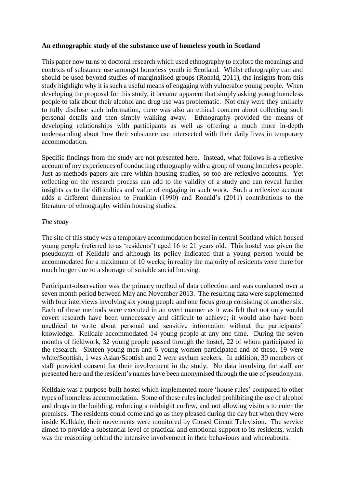## **An ethnographic study of the substance use of homeless youth in Scotland**

This paper now turns to doctoral research which used ethnography to explore the meanings and contexts of substance use amongst homeless youth in Scotland. Whilst ethnography can and should be used beyond studies of marginalised groups (Ronald, 2011), the insights from this study highlight why it is such a useful means of engaging with vulnerable young people. When developing the proposal for this study, it became apparent that simply asking young homeless people to talk about their alcohol and drug use was problematic. Not only were they unlikely to fully disclose such information, there was also an ethical concern about collecting such personal details and then simply walking away. Ethnography provided the means of developing relationships with participants as well as offering a much more in-depth understanding about how their substance use intersected with their daily lives in temporary accommodation.

Specific findings from the study are not presented here. Instead, what follows is a reflexive account of my experiences of conducting ethnography with a group of young homeless people. Just as methods papers are rare within housing studies, so too are reflexive accounts. Yet reflecting on the research process can add to the validity of a study and can reveal further insights as to the difficulties and value of engaging in such work. Such a reflexive account adds a different dimension to Franklin (1990) and Ronald's (2011) contributions to the literature of ethnography within housing studies.

#### *The study*

The site of this study was a temporary accommodation hostel in central Scotland which housed young people (referred to as 'residents') aged 16 to 21 years old. This hostel was given the pseudonym of Kelldale and although its policy indicated that a young person would be accommodated for a maximum of 10 weeks; in reality the majority of residents were there for much longer due to a shortage of suitable social housing.

Participant-observation was the primary method of data collection and was conducted over a seven month period between May and November 2013. The resulting data were supplemented with four interviews involving six young people and one focus group consisting of another six. Each of these methods were executed in an overt manner as it was felt that not only would covert research have been unnecessary and difficult to achieve; it would also have been unethical to write about personal and sensitive information without the participants' knowledge. Kelldale accommodated 14 young people at any one time. During the seven months of fieldwork, 32 young people passed through the hostel, 22 of whom participated in the research. Sixteen young men and 6 young women participated and of these, 19 were white/Scottish, 1 was Asian/Scottish and 2 were asylum seekers. In addition, 30 members of staff provided consent for their involvement in the study. No data involving the staff are presented here and the resident's names have been anonymised through the use of pseudonyms.

Kelldale was a purpose-built hostel which implemented more 'house rules' compared to other types of homeless accommodation. Some of these rules included prohibiting the use of alcohol and drugs in the building, enforcing a midnight curfew, and not allowing visitors to enter the premises. The residents could come and go as they pleased during the day but when they were inside Kelldale, their movements were monitored by Closed Circuit Television. The service aimed to provide a substantial level of practical and emotional support to its residents, which was the reasoning behind the intensive involvement in their behaviours and whereabouts.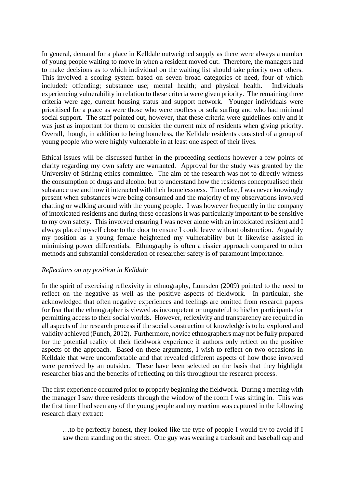In general, demand for a place in Kelldale outweighed supply as there were always a number of young people waiting to move in when a resident moved out. Therefore, the managers had to make decisions as to which individual on the waiting list should take priority over others. This involved a scoring system based on seven broad categories of need, four of which included: offending; substance use; mental health; and physical health. Individuals experiencing vulnerability in relation to these criteria were given priority. The remaining three criteria were age, current housing status and support network. Younger individuals were prioritised for a place as were those who were roofless or sofa surfing and who had minimal social support. The staff pointed out, however, that these criteria were guidelines only and it was just as important for them to consider the current mix of residents when giving priority. Overall, though, in addition to being homeless, the Kelldale residents consisted of a group of young people who were highly vulnerable in at least one aspect of their lives.

Ethical issues will be discussed further in the proceeding sections however a few points of clarity regarding my own safety are warranted. Approval for the study was granted by the University of Stirling ethics committee. The aim of the research was not to directly witness the consumption of drugs and alcohol but to understand how the residents conceptualised their substance use and how it interacted with their homelessness. Therefore, I was never knowingly present when substances were being consumed and the majority of my observations involved chatting or walking around with the young people. I was however frequently in the company of intoxicated residents and during these occasions it was particularly important to be sensitive to my own safety. This involved ensuring I was never alone with an intoxicated resident and I always placed myself close to the door to ensure I could leave without obstruction. Arguably my position as a young female heightened my vulnerability but it likewise assisted in minimising power differentials. Ethnography is often a riskier approach compared to other methods and substantial consideration of researcher safety is of paramount importance.

#### *Reflections on my position in Kelldale*

In the spirit of exercising reflexivity in ethnography, Lumsden (2009) pointed to the need to reflect on the negative as well as the positive aspects of fieldwork. In particular, she acknowledged that often negative experiences and feelings are omitted from research papers for fear that the ethnographer is viewed as incompetent or ungrateful to his/her participants for permitting access to their social worlds. However, reflexivity and transparency are required in all aspects of the research process if the social construction of knowledge is to be explored and validity achieved (Punch, 2012). Furthermore, novice ethnographers may not be fully prepared for the potential reality of their fieldwork experience if authors only reflect on the positive aspects of the approach. Based on these arguments, I wish to reflect on two occasions in Kelldale that were uncomfortable and that revealed different aspects of how those involved were perceived by an outsider. These have been selected on the basis that they highlight researcher bias and the benefits of reflecting on this throughout the research process.

The first experience occurred prior to properly beginning the fieldwork. During a meeting with the manager I saw three residents through the window of the room I was sitting in. This was the first time I had seen any of the young people and my reaction was captured in the following research diary extract:

…to be perfectly honest, they looked like the type of people I would try to avoid if I saw them standing on the street. One guy was wearing a tracksuit and baseball cap and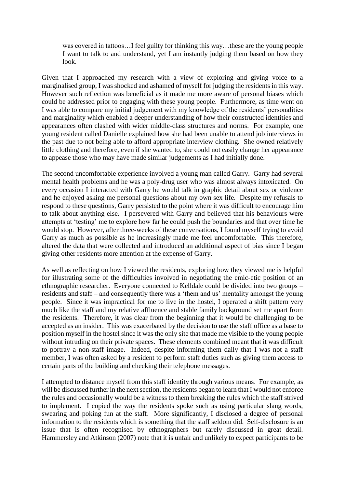was covered in tattoos…I feel guilty for thinking this way…these are the young people I want to talk to and understand, yet I am instantly judging them based on how they look.

Given that I approached my research with a view of exploring and giving voice to a marginalised group, I was shocked and ashamed of myself for judging the residents in this way. However such reflection was beneficial as it made me more aware of personal biases which could be addressed prior to engaging with these young people. Furthermore, as time went on I was able to compare my initial judgement with my knowledge of the residents' personalities and marginality which enabled a deeper understanding of how their constructed identities and appearances often clashed with wider middle-class structures and norms. For example, one young resident called Danielle explained how she had been unable to attend job interviews in the past due to not being able to afford appropriate interview clothing. She owned relatively little clothing and therefore, even if she wanted to, she could not easily change her appearance to appease those who may have made similar judgements as I had initially done.

The second uncomfortable experience involved a young man called Garry. Garry had several mental health problems and he was a poly-drug user who was almost always intoxicated. On every occasion I interacted with Garry he would talk in graphic detail about sex or violence and he enjoyed asking me personal questions about my own sex life. Despite my refusals to respond to these questions, Garry persisted to the point where it was difficult to encourage him to talk about anything else. I persevered with Garry and believed that his behaviours were attempts at 'testing' me to explore how far he could push the boundaries and that over time he would stop. However, after three-weeks of these conversations, I found myself trying to avoid Garry as much as possible as he increasingly made me feel uncomfortable. This therefore, altered the data that were collected and introduced an additional aspect of bias since I began giving other residents more attention at the expense of Garry.

As well as reflecting on how I viewed the residents, exploring how they viewed me is helpful for illustrating some of the difficulties involved in negotiating the emic-etic position of an ethnographic researcher. Everyone connected to Kelldale could be divided into two groups – residents and staff – and consequently there was a 'them and us' mentality amongst the young people. Since it was impractical for me to live in the hostel, I operated a shift pattern very much like the staff and my relative affluence and stable family background set me apart from the residents. Therefore, it was clear from the beginning that it would be challenging to be accepted as an insider. This was exacerbated by the decision to use the staff office as a base to position myself in the hostel since it was the only site that made me visible to the young people without intruding on their private spaces. These elements combined meant that it was difficult to portray a non-staff image. Indeed, despite informing them daily that I was not a staff member, I was often asked by a resident to perform staff duties such as giving them access to certain parts of the building and checking their telephone messages.

I attempted to distance myself from this staff identity through various means. For example, as will be discussed further in the next section, the residents began to learn that I would not enforce the rules and occasionally would be a witness to them breaking the rules which the staff strived to implement. I copied the way the residents spoke such as using particular slang words, swearing and poking fun at the staff. More significantly, I disclosed a degree of personal information to the residents which is something that the staff seldom did. Self-disclosure is an issue that is often recognised by ethnographers but rarely discussed in great detail. Hammersley and Atkinson (2007) note that it is unfair and unlikely to expect participants to be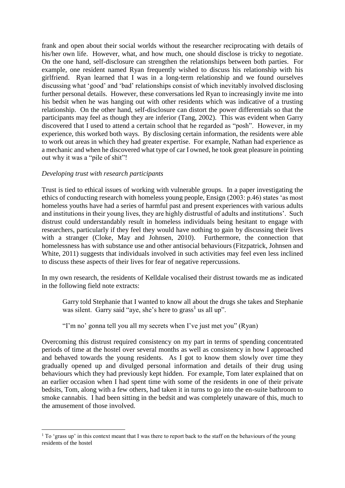frank and open about their social worlds without the researcher reciprocating with details of his/her own life. However, what, and how much, one should disclose is tricky to negotiate. On the one hand, self-disclosure can strengthen the relationships between both parties. For example, one resident named Ryan frequently wished to discuss his relationship with his girlfriend. Ryan learned that I was in a long-term relationship and we found ourselves discussing what 'good' and 'bad' relationships consist of which inevitably involved disclosing further personal details. However, these conversations led Ryan to increasingly invite me into his bedsit when he was hanging out with other residents which was indicative of a trusting relationship. On the other hand, self-disclosure can distort the power differentials so that the participants may feel as though they are inferior (Tang, 2002). This was evident when Garry discovered that I used to attend a certain school that he regarded as "posh". However, in my experience, this worked both ways. By disclosing certain information, the residents were able to work out areas in which they had greater expertise. For example, Nathan had experience as a mechanic and when he discovered what type of car I owned, he took great pleasure in pointing out why it was a "pile of shit"!

#### *Developing trust with research participants*

Trust is tied to ethical issues of working with vulnerable groups. In a paper investigating the ethics of conducting research with homeless young people, Ensign (2003: p.46) states 'as most homeless youths have had a series of harmful past and present experiences with various adults and institutions in their young lives, they are highly distrustful of adults and institutions'. Such distrust could understandably result in homeless individuals being hesitant to engage with researchers, particularly if they feel they would have nothing to gain by discussing their lives with a stranger (Cloke, May and Johnsen, 2010). Furthermore, the connection that homelessness has with substance use and other antisocial behaviours (Fitzpatrick, Johnsen and White, 2011) suggests that individuals involved in such activities may feel even less inclined to discuss these aspects of their lives for fear of negative repercussions.

In my own research, the residents of Kelldale vocalised their distrust towards me as indicated in the following field note extracts:

Garry told Stephanie that I wanted to know all about the drugs she takes and Stephanie was silent. Garry said "aye, she's here to grass<sup>1</sup> us all up".

"I'm no' gonna tell you all my secrets when I've just met you" (Ryan)

Overcoming this distrust required consistency on my part in terms of spending concentrated periods of time at the hostel over several months as well as consistency in how I approached and behaved towards the young residents. As I got to know them slowly over time they gradually opened up and divulged personal information and details of their drug using behaviours which they had previously kept hidden. For example, Tom later explained that on an earlier occasion when I had spent time with some of the residents in one of their private bedsits, Tom, along with a few others, had taken it in turns to go into the en-suite bathroom to smoke cannabis. I had been sitting in the bedsit and was completely unaware of this, much to the amusement of those involved.

<sup>&</sup>lt;u>.</u>  $1$  To 'grass up' in this context meant that I was there to report back to the staff on the behaviours of the young residents of the hostel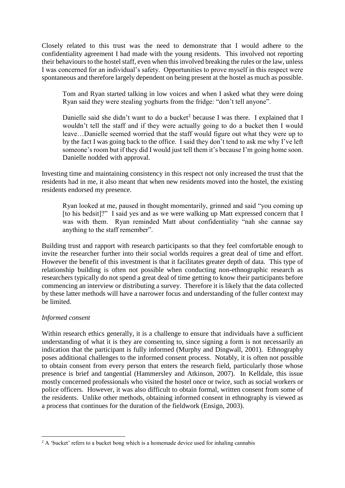Closely related to this trust was the need to demonstrate that I would adhere to the confidentiality agreement I had made with the young residents. This involved not reporting their behaviours to the hostel staff, even when this involved breaking the rules or the law, unless I was concerned for an individual's safety. Opportunities to prove myself in this respect were spontaneous and therefore largely dependent on being present at the hostel as much as possible.

Tom and Ryan started talking in low voices and when I asked what they were doing Ryan said they were stealing yoghurts from the fridge: "don't tell anyone".

Danielle said she didn't want to do a bucket<sup>2</sup> because I was there. I explained that I wouldn't tell the staff and if they were actually going to do a bucket then I would leave…Danielle seemed worried that the staff would figure out what they were up to by the fact I was going back to the office. I said they don't tend to ask me why I've left someone's room but if they did I would just tell them it's because I'm going home soon. Danielle nodded with approval.

Investing time and maintaining consistency in this respect not only increased the trust that the residents had in me, it also meant that when new residents moved into the hostel, the existing residents endorsed my presence.

Ryan looked at me, paused in thought momentarily, grinned and said "you coming up [to his bedsit]?" I said yes and as we were walking up Matt expressed concern that I was with them. Ryan reminded Matt about confidentiality "nah she cannae say anything to the staff remember".

Building trust and rapport with research participants so that they feel comfortable enough to invite the researcher further into their social worlds requires a great deal of time and effort. However the benefit of this investment is that it facilitates greater depth of data. This type of relationship building is often not possible when conducting non-ethnographic research as researchers typically do not spend a great deal of time getting to know their participants before commencing an interview or distributing a survey. Therefore it is likely that the data collected by these latter methods will have a narrower focus and understanding of the fuller context may be limited.

#### *Informed consent*

<u>.</u>

Within research ethics generally, it is a challenge to ensure that individuals have a sufficient understanding of what it is they are consenting to, since signing a form is not necessarily an indication that the participant is fully informed (Murphy and Dingwall, 2001). Ethnography poses additional challenges to the informed consent process. Notably, it is often not possible to obtain consent from every person that enters the research field, particularly those whose presence is brief and tangential (Hammersley and Atkinson, 2007). In Kelldale, this issue mostly concerned professionals who visited the hostel once or twice, such as social workers or police officers. However, it was also difficult to obtain formal, written consent from some of the residents. Unlike other methods, obtaining informed consent in ethnography is viewed as a process that continues for the duration of the fieldwork (Ensign, 2003).

 $2 A$  'bucket' refers to a bucket bong which is a homemade device used for inhaling cannabis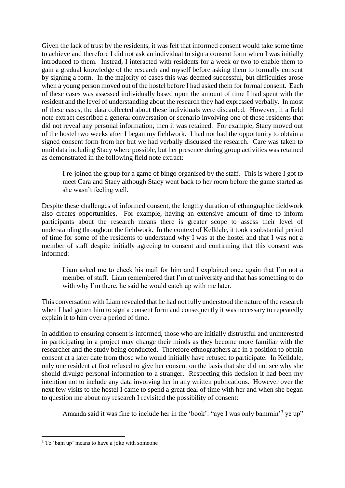Given the lack of trust by the residents, it was felt that informed consent would take some time to achieve and therefore I did not ask an individual to sign a consent form when I was initially introduced to them. Instead, I interacted with residents for a week or two to enable them to gain a gradual knowledge of the research and myself before asking them to formally consent by signing a form. In the majority of cases this was deemed successful, but difficulties arose when a young person moved out of the hostel before I had asked them for formal consent. Each of these cases was assessed individually based upon the amount of time I had spent with the resident and the level of understanding about the research they had expressed verbally. In most of these cases, the data collected about these individuals were discarded. However, if a field note extract described a general conversation or scenario involving one of these residents that did not reveal any personal information, then it was retained. For example, Stacy moved out of the hostel two weeks after I began my fieldwork. I had not had the opportunity to obtain a signed consent form from her but we had verbally discussed the research. Care was taken to omit data including Stacy where possible, but her presence during group activities was retained as demonstrated in the following field note extract:

I re-joined the group for a game of bingo organised by the staff. This is where I got to meet Cara and Stacy although Stacy went back to her room before the game started as she wasn't feeling well.

Despite these challenges of informed consent, the lengthy duration of ethnographic fieldwork also creates opportunities. For example, having an extensive amount of time to inform participants about the research means there is greater scope to assess their level of understanding throughout the fieldwork. In the context of Kelldale, it took a substantial period of time for some of the residents to understand why I was at the hostel and that I was not a member of staff despite initially agreeing to consent and confirming that this consent was informed:

Liam asked me to check his mail for him and I explained once again that I'm not a member of staff. Liam remembered that I'm at university and that has something to do with why I'm there, he said he would catch up with me later.

This conversation with Liam revealed that he had not fully understood the nature of the research when I had gotten him to sign a consent form and consequently it was necessary to repeatedly explain it to him over a period of time.

In addition to ensuring consent is informed, those who are initially distrustful and uninterested in participating in a project may change their minds as they become more familiar with the researcher and the study being conducted. Therefore ethnographers are in a position to obtain consent at a later date from those who would initially have refused to participate. In Kelldale, only one resident at first refused to give her consent on the basis that she did not see why she should divulge personal information to a stranger. Respecting this decision it had been my intention not to include any data involving her in any written publications. However over the next few visits to the hostel I came to spend a great deal of time with her and when she began to question me about my research I revisited the possibility of consent:

Amanda said it was fine to include her in the 'book': "aye I was only bammin'<sup>3</sup> ye up"

<u>.</u>

<sup>&</sup>lt;sup>3</sup> To 'bam up' means to have a joke with someone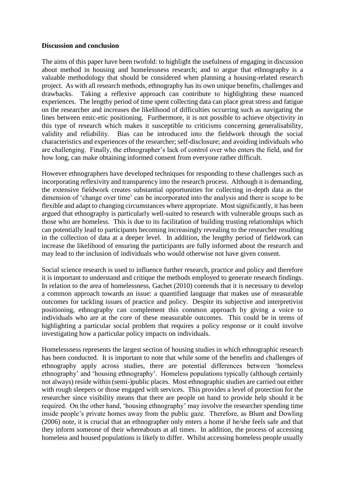#### **Discussion and conclusion**

The aims of this paper have been twofold: to highlight the usefulness of engaging in discussion about method in housing and homelessness research; and to argue that ethnography is a valuable methodology that should be considered when planning a housing-related research project. As with all research methods, ethnography has its own unique benefits, challenges and drawbacks. Taking a reflexive approach can contribute to highlighting these nuanced experiences. The lengthy period of time spent collecting data can place great stress and fatigue on the researcher and increases the likelihood of difficulties occurring such as navigating the lines between emic-etic positioning. Furthermore, it is not possible to achieve objectivity in this type of research which makes it susceptible to criticisms concerning generalisability, validity and reliability. Bias can be introduced into the fieldwork through the social characteristics and experiences of the researcher; self-disclosure; and avoiding individuals who are challenging. Finally, the ethnographer's lack of control over who enters the field, and for how long, can make obtaining informed consent from everyone rather difficult.

However ethnographers have developed techniques for responding to these challenges such as incorporating reflexivity and transparency into the research process. Although it is demanding, the extensive fieldwork creates substantial opportunities for collecting in-depth data as the dimension of 'change over time' can be incorporated into the analysis and there is scope to be flexible and adapt to changing circumstances where appropriate. Most significantly, it has been argued that ethnography is particularly well-suited to research with vulnerable groups such as those who are homeless. This is due to its facilitation of building trusting relationships which can potentially lead to participants becoming increasingly revealing to the researcher resulting in the collection of data at a deeper level. In addition, the lengthy period of fieldwork can increase the likelihood of ensuring the participants are fully informed about the research and may lead to the inclusion of individuals who would otherwise not have given consent.

Social science research is used to influence further research, practice and policy and therefore it is important to understand and critique the methods employed to generate research findings. In relation to the area of homelessness, Gachet (2010) contends that it is necessary to develop a common approach towards an issue: a quantified language that makes use of measurable outcomes for tackling issues of practice and policy. Despite its subjective and interpretivist positioning, ethnography can complement this common approach by giving a voice to individuals who are at the core of these measurable outcomes. This could be in terms of highlighting a particular social problem that requires a policy response or it could involve investigating how a particular policy impacts on individuals.

Homelessness represents the largest section of housing studies in which ethnographic research has been conducted. It is important to note that while some of the benefits and challenges of ethnography apply across studies, there are potential differences between 'homeless ethnography' and 'housing ethnography'. Homeless populations typically (although certainly not always) reside within (semi-)public places. Most ethnographic studies are carried out either with rough sleepers or those engaged with services. This provides a level of protection for the researcher since visibility means that there are people on hand to provide help should it be required. On the other hand, 'housing ethnography' may involve the researcher spending time inside people's private homes away from the public gaze. Therefore, as Blunt and Dowling (2006) note, it is crucial that an ethnographer only enters a home if he/she feels safe and that they inform someone of their whereabouts at all times. In addition, the process of accessing homeless and housed populations is likely to differ. Whilst accessing homeless people usually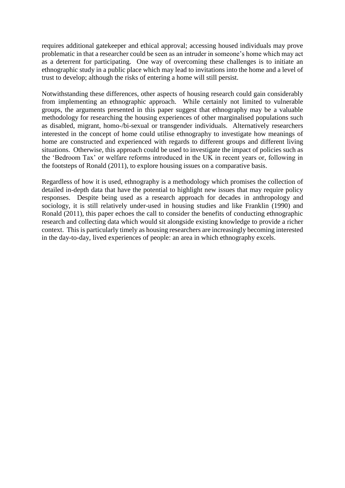requires additional gatekeeper and ethical approval; accessing housed individuals may prove problematic in that a researcher could be seen as an intruder in someone's home which may act as a deterrent for participating. One way of overcoming these challenges is to initiate an ethnographic study in a public place which may lead to invitations into the home and a level of trust to develop; although the risks of entering a home will still persist.

Notwithstanding these differences, other aspects of housing research could gain considerably from implementing an ethnographic approach. While certainly not limited to vulnerable groups, the arguments presented in this paper suggest that ethnography may be a valuable methodology for researching the housing experiences of other marginalised populations such as disabled, migrant, homo-/bi-sexual or transgender individuals. Alternatively researchers interested in the concept of home could utilise ethnography to investigate how meanings of home are constructed and experienced with regards to different groups and different living situations. Otherwise, this approach could be used to investigate the impact of policies such as the 'Bedroom Tax' or welfare reforms introduced in the UK in recent years or, following in the footsteps of Ronald (2011), to explore housing issues on a comparative basis.

Regardless of how it is used, ethnography is a methodology which promises the collection of detailed in-depth data that have the potential to highlight new issues that may require policy responses. Despite being used as a research approach for decades in anthropology and sociology, it is still relatively under-used in housing studies and like Franklin (1990) and Ronald (2011), this paper echoes the call to consider the benefits of conducting ethnographic research and collecting data which would sit alongside existing knowledge to provide a richer context. This is particularly timely as housing researchers are increasingly becoming interested in the day-to-day, lived experiences of people: an area in which ethnography excels.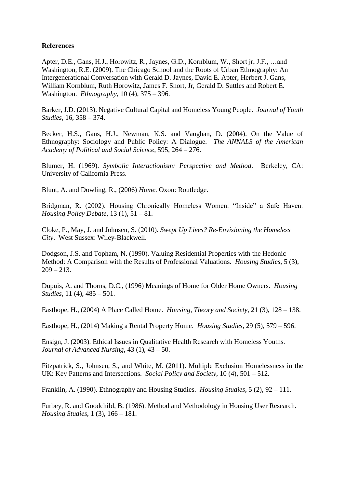## **References**

Apter, D.E., Gans, H.J., Horowitz, R., Jaynes, G.D., Kornblum, W., Short jr, J.F., …and Washington, R.E. (2009). The Chicago School and the Roots of Urban Ethnography: An Intergenerational Conversation with Gerald D. Jaynes, David E. Apter, Herbert J. Gans, William Kornblum, Ruth Horowitz, James F. Short, Jr, Gerald D. Suttles and Robert E. Washington. *Ethnography*, 10 (4), 375 – 396.

Barker, J.D. (2013). Negative Cultural Capital and Homeless Young People. *Journal of Youth Studies*, 16, 358 – 374.

Becker, H.S., Gans, H.J., Newman, K.S. and Vaughan, D. (2004). On the Value of Ethnography: Sociology and Public Policy: A Dialogue. *The ANNALS of the American Academy of Political and Social Science*, 595, 264 – 276.

Blumer, H. (1969). *Symbolic Interactionism: Perspective and Method*. Berkeley, CA: University of California Press.

Blunt, A. and Dowling, R., (2006) *Home*. Oxon: Routledge.

Bridgman, R. (2002). Housing Chronically Homeless Women: "Inside" a Safe Haven. *Housing Policy Debate*, 13 (1), 51 – 81.

Cloke, P., May, J. and Johnsen, S. (2010). *Swept Up Lives? Re-Envisioning the Homeless City*. West Sussex: Wiley-Blackwell.

Dodgson, J.S. and Topham, N. (1990). Valuing Residential Properties with the Hedonic Method: A Comparison with the Results of Professional Valuations. *Housing Studies*, 5 (3),  $209 - 213$ .

Dupuis, A. and Thorns, D.C., (1996) Meanings of Home for Older Home Owners. *Housing Studies*, 11 (4), 485 – 501.

Easthope, H., (2004) A Place Called Home. *Housing, Theory and Society*, 21 (3), 128 – 138.

Easthope, H., (2014) Making a Rental Property Home. *Housing Studies*, 29 (5), 579 – 596.

Ensign, J. (2003). Ethical Issues in Qualitative Health Research with Homeless Youths. *Journal of Advanced Nursing*, 43 (1), 43 – 50.

Fitzpatrick, S., Johnsen, S., and White, M. (2011). Multiple Exclusion Homelessness in the UK: Key Patterns and Intersections. *Social Policy and Society*, 10 (4), 501 – 512.

Franklin, A. (1990). Ethnography and Housing Studies. *Housing Studies*, 5 (2), 92 – 111.

Furbey, R. and Goodchild, B. (1986). Method and Methodology in Housing User Research. *Housing Studies*, 1 (3), 166 – 181.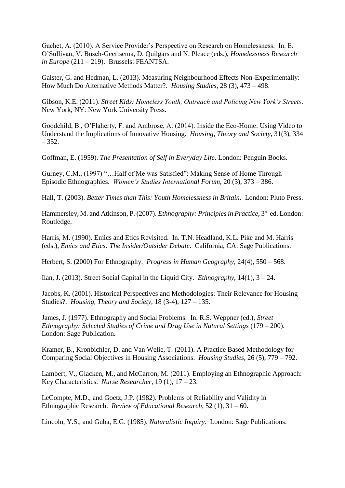Gachet, A. (2010). A Service Provider's Perspective on Research on Homelessness. In. E. O'Sullivan, V. Busch-Geertsema, D. Quilgars and N. Pleace (eds.), *Homelessness Research in Europe* (211 – 219). Brussels: FEANTSA.

Galster, G. and Hedman, L. (2013). Measuring Neighbourhood Effects Non-Experimentally: How Much Do Alternative Methods Matter?. *Housing Studies*, 28 (3), 473 – 498.

Gibson, K.E. (2011). *Street Kids: Homeless Youth, Outreach and Policing New York's Streets*. New York, NY: New York University Press.

Goodchild, B., O'Flaherty, F. and Ambrose, A. (2014). Inside the Eco-Home: Using Video to Understand the Implications of Innovative Housing. *Housing, Theory and Society*, 31(3), 334 – 352.

Goffman, E. (1959). *The Presentation of Self in Everyday Life*. London: Penguin Books.

Gurney, C.M., (1997) "…Half of Me was Satisfied": Making Sense of Home Through Episodic Ethnographies. *Women's Studies International Forum*, 20 (3), 373 – 386.

Hall, T. (2003). *Better Times than This: Youth Homelessness in Britain*. London: Pluto Press.

Hammersley, M. and Atkinson, P. (2007). *Ethnography: Principles in Practice*, 3rd ed. London: Routledge.

Harris, M. (1990). Emics and Etics Revisited. In. T.N. Headland, K.L. Pike and M. Harris (eds.), *Emics and Etics: The Insider/Outsider Debate*. California, CA: Sage Publications.

Herbert, S. (2000) For Ethnography. *Progress in Human Geography*, 24(4), 550 – 568.

Ilan, J. (2013). Street Social Capital in the Liquid City. *Ethnography*, 14(1), 3 – 24.

Jacobs, K. (2001). Historical Perspectives and Methodologies: Their Relevance for Housing Studies?. *Housing, Theory and Society*, 18 (3-4), 127 – 135.

James, J. (1977). Ethnography and Social Problems. In. R.S. Weppner (ed.), *Street Ethnography: Selected Studies of Crime and Drug Use in Natural Settings* (179 – 200). London: Sage Publication.

Kramer, B., Kronbichler, D. and Van Welie, T. (2011). A Practice Based Methodology for Comparing Social Objectives in Housing Associations. *Housing Studies*, 26 (5), 779 – 792.

Lambert, V., Glacken, M., and McCarron, M. (2011). Employing an Ethnographic Approach: Key Characteristics. *Nurse Researcher*, 19 (1), 17 – 23.

LeCompte, M.D., and Goetz, J.P. (1982). Problems of Reliability and Validity in Ethnographic Research. *Review of Educational Research*, 52 (1), 31 – 60.

Lincoln, Y.S., and Guba, E.G. (1985). *Naturalistic Inquiry*. London: Sage Publications.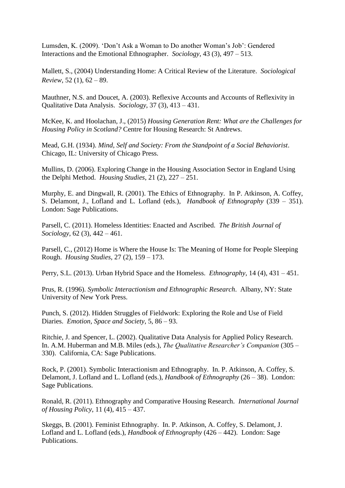Lumsden, K. (2009). 'Don't Ask a Woman to Do another Woman's Job': Gendered Interactions and the Emotional Ethnographer. *Sociology*, 43 (3), 497 – 513.

Mallett, S., (2004) Understanding Home: A Critical Review of the Literature. *Sociological Review*, 52 (1), 62 – 89.

Mauthner, N.S. and Doucet, A. (2003). Reflexive Accounts and Accounts of Reflexivity in Qualitative Data Analysis. *Sociology*, 37 (3), 413 – 431.

McKee, K. and Hoolachan, J., (2015) *Housing Generation Rent: What are the Challenges for Housing Policy in Scotland?* Centre for Housing Research: St Andrews.

Mead, G.H. (1934). *Mind, Self and Society: From the Standpoint of a Social Behaviorist*. Chicago, IL: University of Chicago Press.

Mullins, D. (2006). Exploring Change in the Housing Association Sector in England Using the Delphi Method. *Housing Studies*, 21 (2), 227 – 251.

Murphy, E. and Dingwall, R. (2001). The Ethics of Ethnography. In P. Atkinson, A. Coffey, S. Delamont, J., Lofland and L. Lofland (eds.), *Handbook of Ethnography* (339 – 351). London: Sage Publications.

Parsell, C. (2011). Homeless Identities: Enacted and Ascribed. *The British Journal of Sociology*, 62 (3), 442 – 461.

Parsell, C., (2012) Home is Where the House Is: The Meaning of Home for People Sleeping Rough. *Housing Studies*, 27 (2), 159 – 173.

Perry, S.L. (2013). Urban Hybrid Space and the Homeless. *Ethnography*, 14 (4), 431 – 451.

Prus, R. (1996). *Symbolic Interactionism and Ethnographic Research*. Albany, NY: State University of New York Press.

Punch, S. (2012). Hidden Struggles of Fieldwork: Exploring the Role and Use of Field Diaries. *Emotion, Space and Society*, 5, 86 – 93.

Ritchie, J. and Spencer, L. (2002). Qualitative Data Analysis for Applied Policy Research. In. A.M. Huberman and M.B. Miles (eds.), *The Qualitative Researcher's Companion* (305 – 330). California, CA: Sage Publications.

Rock, P. (2001). Symbolic Interactionism and Ethnography. In. P. Atkinson, A. Coffey, S. Delamont, J. Lofland and L. Lofland (eds.), *Handbook of Ethnography* (26 – 38). London: Sage Publications.

Ronald, R. (2011). Ethnography and Comparative Housing Research. *International Journal of Housing Policy*, 11 (4), 415 – 437.

Skeggs, B. (2001). Feminist Ethnography. In. P. Atkinson, A. Coffey, S. Delamont, J. Lofland and L. Lofland (eds.), *Handbook of Ethnography* (426 – 442). London: Sage Publications.